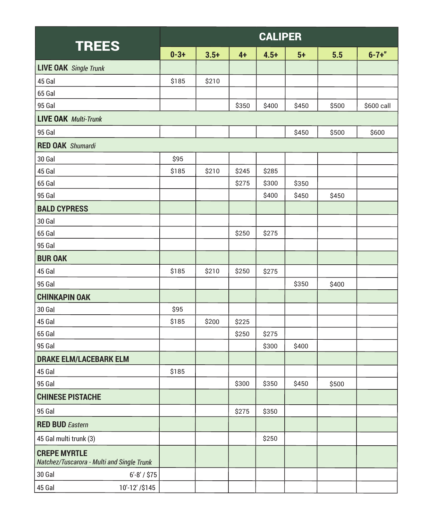| <b>TREES</b>                                                      | <b>CALIPER</b> |        |       |        |       |       |             |  |  |
|-------------------------------------------------------------------|----------------|--------|-------|--------|-------|-------|-------------|--|--|
|                                                                   | $0 - 3 +$      | $3.5+$ | $4+$  | $4.5+$ | $5+$  | 5.5   | $6 - 7 +$ " |  |  |
| <b>LIVE OAK</b> Single Trunk                                      |                |        |       |        |       |       |             |  |  |
| 45 Gal                                                            | \$185          | \$210  |       |        |       |       |             |  |  |
| 65 Gal                                                            |                |        |       |        |       |       |             |  |  |
| 95 Gal                                                            |                |        | \$350 | \$400  | \$450 | \$500 | \$600 call  |  |  |
| <b>LIVE OAK Multi-Trunk</b>                                       |                |        |       |        |       |       |             |  |  |
| 95 Gal                                                            |                |        |       |        | \$450 | \$500 | \$600       |  |  |
| <b>RED OAK</b> Shumardi                                           |                |        |       |        |       |       |             |  |  |
| 30 Gal                                                            | \$95           |        |       |        |       |       |             |  |  |
| 45 Gal                                                            | \$185          | \$210  | \$245 | \$285  |       |       |             |  |  |
| 65 Gal                                                            |                |        | \$275 | \$300  | \$350 |       |             |  |  |
| <b>95 Gal</b>                                                     |                |        |       | \$400  | \$450 | \$450 |             |  |  |
| <b>BALD CYPRESS</b>                                               |                |        |       |        |       |       |             |  |  |
| 30 Gal                                                            |                |        |       |        |       |       |             |  |  |
| 65 Gal                                                            |                |        | \$250 | \$275  |       |       |             |  |  |
| 95 Gal                                                            |                |        |       |        |       |       |             |  |  |
| <b>BUR OAK</b>                                                    |                |        |       |        |       |       |             |  |  |
| 45 Gal                                                            | \$185          | \$210  | \$250 | \$275  |       |       |             |  |  |
| 95 Gal                                                            |                |        |       |        | \$350 | \$400 |             |  |  |
| <b>CHINKAPIN OAK</b>                                              |                |        |       |        |       |       |             |  |  |
| 30 Gal                                                            | \$95           |        |       |        |       |       |             |  |  |
| 45 Gal                                                            | \$185          | \$200  | \$225 |        |       |       |             |  |  |
| 65 Gal                                                            |                |        | \$250 | \$275  |       |       |             |  |  |
| 95 Gal                                                            |                |        |       | \$300  | \$400 |       |             |  |  |
| <b>DRAKE ELM/LACEBARK ELM</b>                                     |                |        |       |        |       |       |             |  |  |
| 45 Gal                                                            | \$185          |        |       |        |       |       |             |  |  |
| 95 Gal                                                            |                |        | \$300 | \$350  | \$450 | \$500 |             |  |  |
| <b>CHINESE PISTACHE</b>                                           |                |        |       |        |       |       |             |  |  |
| <b>95 Gal</b>                                                     |                |        | \$275 | \$350  |       |       |             |  |  |
| <b>RED BUD</b> Eastern                                            |                |        |       |        |       |       |             |  |  |
| 45 Gal multi trunk (3)                                            |                |        |       | \$250  |       |       |             |  |  |
| <b>CREPE MYRTLE</b><br>Natchez/Tuscarora - Multi and Single Trunk |                |        |       |        |       |       |             |  |  |
| 30 Gal<br>$6' - 8' / $75$                                         |                |        |       |        |       |       |             |  |  |
| 10'-12' /\$145<br>45 Gal                                          |                |        |       |        |       |       |             |  |  |